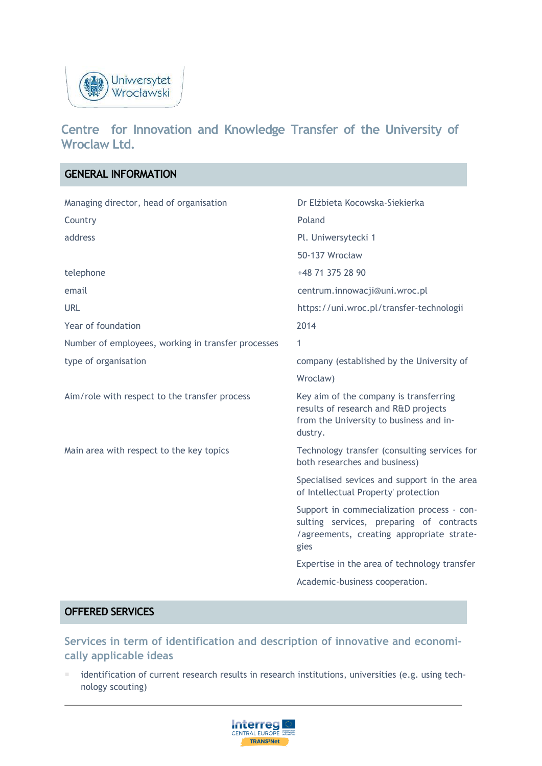

# **Centre for Innovation and Knowledge Transfer of the University of Wroclaw Ltd.**

| <b>GENERAL INFORMATION</b>                         |                                                                                                                                             |
|----------------------------------------------------|---------------------------------------------------------------------------------------------------------------------------------------------|
| Managing director, head of organisation            | Dr Elżbieta Kocowska-Siekierka                                                                                                              |
| Country                                            | Poland                                                                                                                                      |
| address                                            | Pl. Uniwersytecki 1                                                                                                                         |
|                                                    | 50-137 Wrocław                                                                                                                              |
| telephone                                          | +48 71 375 28 90                                                                                                                            |
| email                                              | centrum.innowacji@uni.wroc.pl                                                                                                               |
| <b>URL</b>                                         | https://uni.wroc.pl/transfer-technologii                                                                                                    |
| Year of foundation                                 | 2014                                                                                                                                        |
| Number of employees, working in transfer processes | 1                                                                                                                                           |
| type of organisation                               | company (established by the University of                                                                                                   |
|                                                    | Wroclaw)                                                                                                                                    |
| Aim/role with respect to the transfer process      | Key aim of the company is transferring<br>results of research and R&D projects<br>from the University to business and in-<br>dustry.        |
| Main area with respect to the key topics           | Technology transfer (consulting services for<br>both researches and business)                                                               |
|                                                    | Specialised sevices and support in the area<br>of Intellectual Property' protection                                                         |
|                                                    | Support in commecialization process - con-<br>sulting services, preparing of contracts<br>/agreements, creating appropriate strate-<br>gies |
|                                                    | Expertise in the area of technology transfer                                                                                                |
|                                                    | Academic-business cooperation.                                                                                                              |
|                                                    |                                                                                                                                             |

### **OFFERED SERVICES**

**Services in term of identification and description of innovative and economically applicable ideas** 

 identification of current research results in research institutions, universities (e.g. using technology scouting)

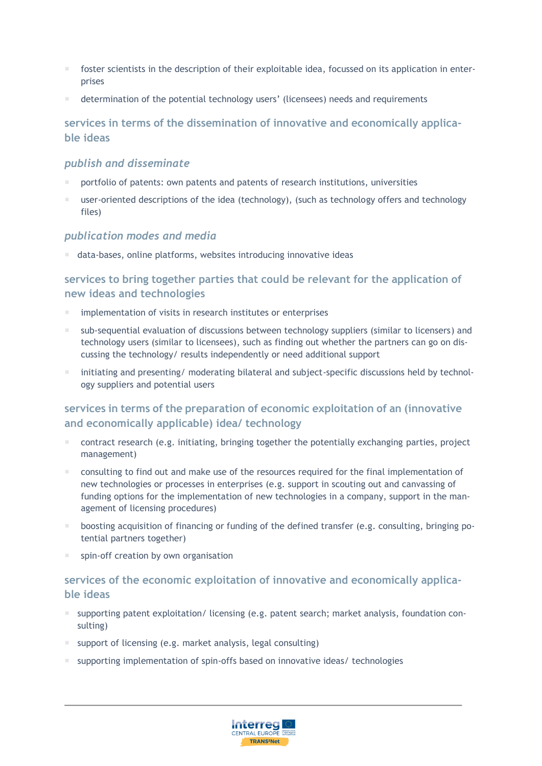- foster scientists in the description of their exploitable idea, focussed on its application in enterprises
- determination of the potential technology users' (licensees) needs and requirements

### **services in terms of the dissemination of innovative and economically applicable ideas**

#### *publish and disseminate*

- portfolio of patents: own patents and patents of research institutions, universities
- user-oriented descriptions of the idea (technology), (such as technology offers and technology files)

#### *publication modes and media*

data-bases, online platforms, websites introducing innovative ideas

### **services to bring together parties that could be relevant for the application of new ideas and technologies**

- implementation of visits in research institutes or enterprises
- sub-sequential evaluation of discussions between technology suppliers (similar to licensers) and technology users (similar to licensees), such as finding out whether the partners can go on discussing the technology/ results independently or need additional support
- initiating and presenting/ moderating bilateral and subject-specific discussions held by technology suppliers and potential users

### **services in terms of the preparation of economic exploitation of an (innovative and economically applicable) idea/ technology**

- contract research (e.g. initiating, bringing together the potentially exchanging parties, project management)
- consulting to find out and make use of the resources required for the final implementation of new technologies or processes in enterprises (e.g. support in scouting out and canvassing of funding options for the implementation of new technologies in a company, support in the management of licensing procedures)
- boosting acquisition of financing or funding of the defined transfer (e.g. consulting, bringing potential partners together)
- spin-off creation by own organisation

## **services of the economic exploitation of innovative and economically applicable ideas**

- $\blacksquare$  supporting patent exploitation/ licensing (e.g. patent search; market analysis, foundation consulting)
- support of licensing (e.g. market analysis, legal consulting)
- supporting implementation of spin-offs based on innovative ideas/ technologies